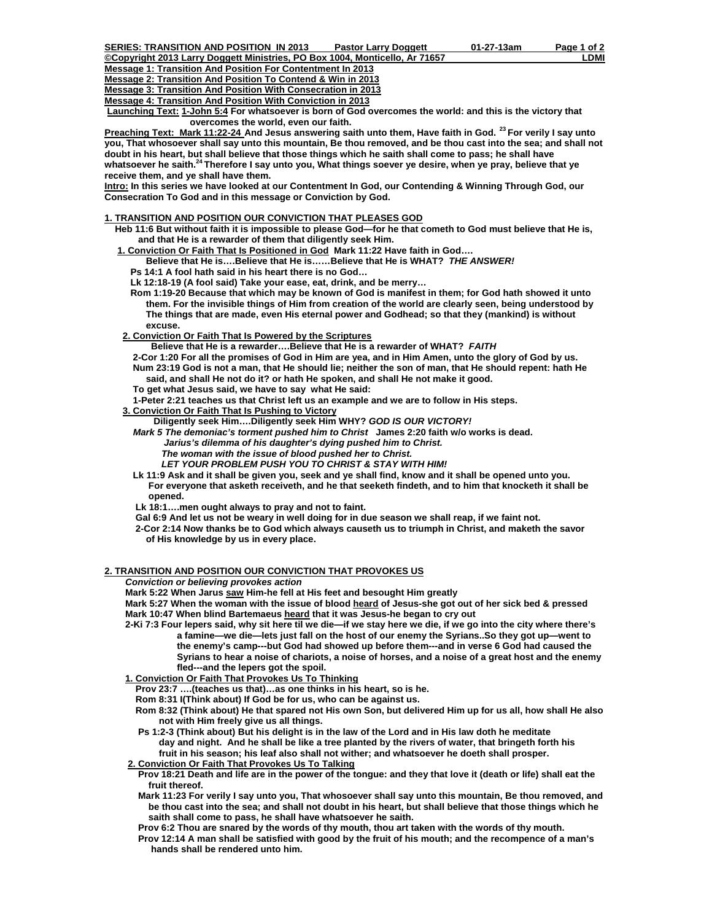**Copyright 2013 Larry Doggett Ministries, PO Box 1004, Monticello, Ar 71657** LOMI **Message 1: Transition And Position For Contentment In 2013**

**Message 2: Transition And Position To Contend & Win in 2013**

**Message 3: Transition And Position With Consecration in 2013**

**Message 4: Transition And Position With Conviction in 2013**

**Launching Text: 1-John 5:4 For whatsoever is born of God overcomes the world: and this is the victory that**  overcomes the world, even our faith.

**Preaching Text: Mark 11:22-24 And Jesus answering saith unto them, Have faith in God. 23 For verily I say unto you, That whosoever shall say unto this mountain, Be thou removed, and be thou cast into the sea; and shall not doubt in his heart, but shall believe that those things which he saith shall come to pass; he shall have whatsoever he saith.24 Therefore I say unto you, What things soever ye desire, when ye pray, believe that ye receive them, and ye shall have them.** 

**Intro: In this series we have looked at our Contentment In God, our Contending & Winning Through God, our Consecration To God and in this message or Conviction by God.** 

## **1. TRANSITION AND POSITION OUR CONVICTION THAT PLEASES GOD**

 **Heb 11:6 But without faith it is impossible to please God—for he that cometh to God must believe that He is, and that He is a rewarder of them that diligently seek Him.** 

 **1. Conviction Or Faith That Is Positioned in God Mark 11:22 Have faith in God….** 

 **Believe that He is….Believe that He is……Believe that He is WHAT?** *THE ANSWER!*

 **Ps 14:1 A fool hath said in his heart there is no God…** 

 **Lk 12:18-19 (A fool said) Take your ease, eat, drink, and be merry…** 

 **Rom 1:19-20 Because that which may be known of God is manifest in them; for God hath showed it unto them. For the invisible things of Him from creation of the world are clearly seen, being understood by The things that are made, even His eternal power and Godhead; so that they (mankind) is without excuse.** 

 **2. Conviction Or Faith That Is Powered by the Scriptures**

 **Believe that He is a rewarder….Believe that He is a rewarder of WHAT?** *FAITH*

 **2-Cor 1:20 For all the promises of God in Him are yea, and in Him Amen, unto the glory of God by us. Num 23:19 God is not a man, that He should lie; neither the son of man, that He should repent: hath He said, and shall He not do it? or hath He spoken, and shall He not make it good.** 

 **To get what Jesus said, we have to say what He said:** 

 **1-Peter 2:21 teaches us that Christ left us an example and we are to follow in His steps.** 

 **3. Conviction Or Faith That Is Pushing to Victory**

 **Diligently seek Him….Diligently seek Him WHY?** *GOD IS OUR VICTORY!* 

 *Mark 5 The demoniac's torment pushed him to Christ* **James 2:20 faith w/o works is dead.**

 *Jarius's dilemma of his daughter's dying pushed him to Christ.* 

 *The woman with the issue of blood pushed her to Christ.* 

 *LET YOUR PROBLEM PUSH YOU TO CHRIST & STAY WITH HIM!* 

 **Lk 11:9 Ask and it shall be given you, seek and ye shall find, know and it shall be opened unto you. For everyone that asketh receiveth, and he that seeketh findeth, and to him that knocketh it shall be opened.** 

 **Lk 18:1….men ought always to pray and not to faint.** 

 **Gal 6:9 And let us not be weary in well doing for in due season we shall reap, if we faint not.** 

 **2-Cor 2:14 Now thanks be to God which always causeth us to triumph in Christ, and maketh the savor of His knowledge by us in every place.** 

## **2. TRANSITION AND POSITION OUR CONVICTION THAT PROVOKES US**

*Conviction or believing provokes action* 

 **Mark 5:22 When Jarus saw Him-he fell at His feet and besought Him greatly** 

 **Mark 5:27 When the woman with the issue of blood heard of Jesus-she got out of her sick bed & pressed Mark 10:47 When blind Bartemaeus heard that it was Jesus-he began to cry out** 

 **2-Ki 7:3 Four lepers said, why sit here til we die—if we stay here we die, if we go into the city where there's a famine—we die—lets just fall on the host of our enemy the Syrians..So they got up—went to the enemy's camp---but God had showed up before them---and in verse 6 God had caused the Syrians to hear a noise of chariots, a noise of horses, and a noise of a great host and the enemy fled---and the lepers got the spoil.** 

# **1. Conviction Or Faith That Provokes Us To Thinking**

 **Prov 23:7 ….(teaches us that)…as one thinks in his heart, so is he.** 

 **Rom 8:31 I(Think about) If God be for us, who can be against us.** 

- **Rom 8:32 (Think about) He that spared not His own Son, but delivered Him up for us all, how shall He also not with Him freely give us all things.**
- **Ps 1:2-3 (Think about) But his delight is in the law of the Lord and in His law doth he meditate day and night. And he shall be like a tree planted by the rivers of water, that bringeth forth his fruit in his season; his leaf also shall not wither; and whatsoever he doeth shall prosper.**
- **2. Conviction Or Faith That Provokes Us To Talking**

 **Prov 18:21 Death and life are in the power of the tongue: and they that love it (death or life) shall eat the fruit thereof.** 

 **Mark 11:23 For verily I say unto you, That whosoever shall say unto this mountain, Be thou removed, and be thou cast into the sea; and shall not doubt in his heart, but shall believe that those things which he saith shall come to pass, he shall have whatsoever he saith.** 

 **Prov 6:2 Thou are snared by the words of thy mouth, thou art taken with the words of thy mouth. Prov 12:14 A man shall be satisfied with good by the fruit of his mouth; and the recompence of a man's hands shall be rendered unto him.**